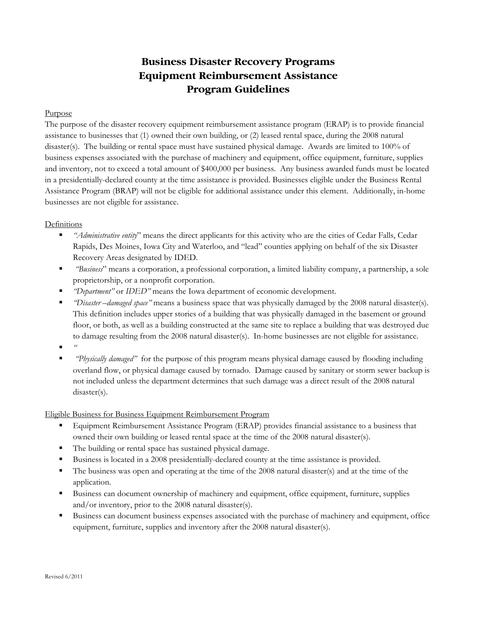# **Business Disaster Recovery Programs Equipment Reimbursement Assistance Program Guidelines**

#### Purpose

The purpose of the disaster recovery equipment reimbursement assistance program (ERAP) is to provide financial assistance to businesses that (1) owned their own building, or (2) leased rental space, during the 2008 natural disaster(s). The building or rental space must have sustained physical damage. Awards are limited to 100% of business expenses associated with the purchase of machinery and equipment, office equipment, furniture, supplies and inventory, not to exceed a total amount of \$400,000 per business. Any business awarded funds must be located in a presidentially-declared county at the time assistance is provided. Businesses eligible under the Business Rental Assistance Program (BRAP) will not be eligible for additional assistance under this element. Additionally, in-home businesses are not eligible for assistance.

### Definitions

- *"Administrative entity*" means the direct applicants for this activity who are the cities of Cedar Falls, Cedar Rapids, Des Moines, Iowa City and Waterloo, and "lead" counties applying on behalf of the six Disaster Recovery Areas designated by IDED.
- *"Business*" means a corporation, a professional corporation, a limited liability company, a partnership, a sole proprietorship, or a nonprofit corporation.
- *"Department"* or *IDED"* means the Iowa department of economic development.
- *"Disaster –damaged space"* means a business space that was physically damaged by the 2008 natural disaster(s). This definition includes upper stories of a building that was physically damaged in the basement or ground floor, or both, as well as a building constructed at the same site to replace a building that was destroyed due to damage resulting from the 2008 natural disaster(s). In-home businesses are not eligible for assistance.
- *"*
- *"Physically damaged"* for the purpose of this program means physical damage caused by flooding including overland flow, or physical damage caused by tornado. Damage caused by sanitary or storm sewer backup is not included unless the department determines that such damage was a direct result of the 2008 natural disaster(s).

### Eligible Business for Business Equipment Reimbursement Program

- **Equipment Reimbursement Assistance Program (ERAP) provides financial assistance to a business that** owned their own building or leased rental space at the time of the 2008 natural disaster(s).
- The building or rental space has sustained physical damage.
- **Business is located in a 2008 presidentially-declared county at the time assistance is provided.**
- The business was open and operating at the time of the 2008 natural disaster(s) and at the time of the application.
- Business can document ownership of machinery and equipment, office equipment, furniture, supplies and/or inventory, prior to the 2008 natural disaster(s).
- Business can document business expenses associated with the purchase of machinery and equipment, office equipment, furniture, supplies and inventory after the 2008 natural disaster(s).